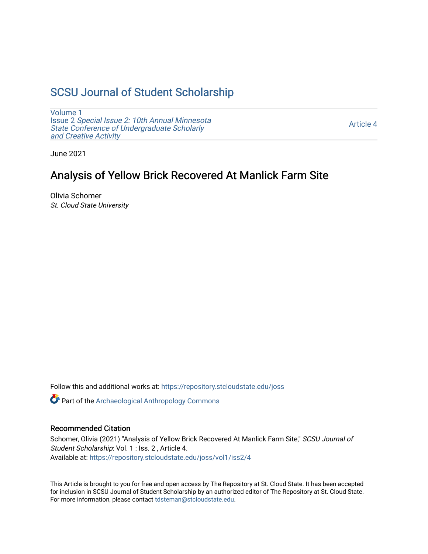## [SCSU Journal of Student Scholarship](https://repository.stcloudstate.edu/joss)

[Volume 1](https://repository.stcloudstate.edu/joss/vol1) Issue 2 [Special Issue 2: 10th Annual Minnesota](https://repository.stcloudstate.edu/joss/vol1/iss2)  [State Conference of Undergraduate Scholarly](https://repository.stcloudstate.edu/joss/vol1/iss2)  [and Creative Activity](https://repository.stcloudstate.edu/joss/vol1/iss2) 

[Article 4](https://repository.stcloudstate.edu/joss/vol1/iss2/4) 

June 2021

## Analysis of Yellow Brick Recovered At Manlick Farm Site

Olivia Schomer St. Cloud State University

Follow this and additional works at: [https://repository.stcloudstate.edu/joss](https://repository.stcloudstate.edu/joss?utm_source=repository.stcloudstate.edu%2Fjoss%2Fvol1%2Fiss2%2F4&utm_medium=PDF&utm_campaign=PDFCoverPages) 

Part of the [Archaeological Anthropology Commons](http://network.bepress.com/hgg/discipline/319?utm_source=repository.stcloudstate.edu%2Fjoss%2Fvol1%2Fiss2%2F4&utm_medium=PDF&utm_campaign=PDFCoverPages)

#### Recommended Citation

Schomer, Olivia (2021) "Analysis of Yellow Brick Recovered At Manlick Farm Site," SCSU Journal of Student Scholarship: Vol. 1 : Iss. 2 , Article 4. Available at: [https://repository.stcloudstate.edu/joss/vol1/iss2/4](https://repository.stcloudstate.edu/joss/vol1/iss2/4?utm_source=repository.stcloudstate.edu%2Fjoss%2Fvol1%2Fiss2%2F4&utm_medium=PDF&utm_campaign=PDFCoverPages)

This Article is brought to you for free and open access by The Repository at St. Cloud State. It has been accepted for inclusion in SCSU Journal of Student Scholarship by an authorized editor of The Repository at St. Cloud State. For more information, please contact [tdsteman@stcloudstate.edu.](mailto:tdsteman@stcloudstate.edu)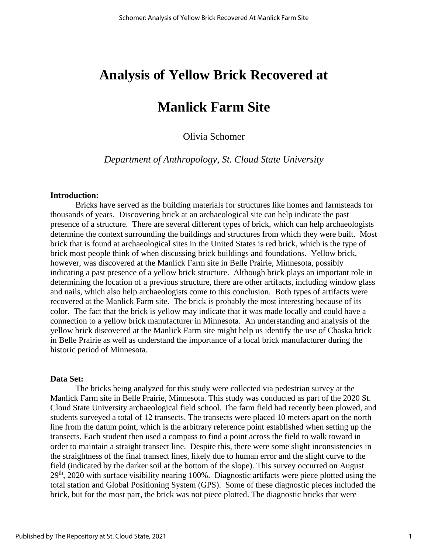## **Analysis of Yellow Brick Recovered at**

# **Manlick Farm Site**

## Olivia Schomer

*Department of Anthropology, St. Cloud State University*

#### **Introduction:**

Bricks have served as the building materials for structures like homes and farmsteads for thousands of years. Discovering brick at an archaeological site can help indicate the past presence of a structure. There are several different types of brick, which can help archaeologists determine the context surrounding the buildings and structures from which they were built. Most brick that is found at archaeological sites in the United States is red brick, which is the type of brick most people think of when discussing brick buildings and foundations. Yellow brick, however, was discovered at the Manlick Farm site in Belle Prairie, Minnesota, possibly indicating a past presence of a yellow brick structure. Although brick plays an important role in determining the location of a previous structure, there are other artifacts, including window glass and nails, which also help archaeologists come to this conclusion. Both types of artifacts were recovered at the Manlick Farm site. The brick is probably the most interesting because of its color. The fact that the brick is yellow may indicate that it was made locally and could have a connection to a yellow brick manufacturer in Minnesota. An understanding and analysis of the yellow brick discovered at the Manlick Farm site might help us identify the use of Chaska brick in Belle Prairie as well as understand the importance of a local brick manufacturer during the historic period of Minnesota.

#### **Data Set:**

The bricks being analyzed for this study were collected via pedestrian survey at the Manlick Farm site in Belle Prairie, Minnesota. This study was conducted as part of the 2020 St. Cloud State University archaeological field school. The farm field had recently been plowed, and students surveyed a total of 12 transects. The transects were placed 10 meters apart on the north line from the datum point, which is the arbitrary reference point established when setting up the transects. Each student then used a compass to find a point across the field to walk toward in order to maintain a straight transect line. Despite this, there were some slight inconsistencies in the straightness of the final transect lines, likely due to human error and the slight curve to the field (indicated by the darker soil at the bottom of the slope). This survey occurred on August 29th, 2020 with surface visibility nearing 100%. Diagnostic artifacts were piece plotted using the total station and Global Positioning System (GPS). Some of these diagnostic pieces included the brick, but for the most part, the brick was not piece plotted. The diagnostic bricks that were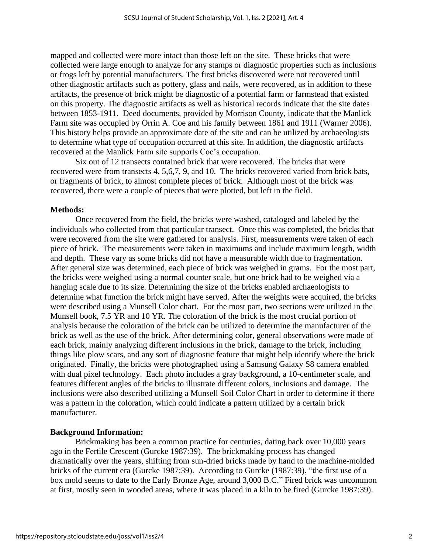mapped and collected were more intact than those left on the site. These bricks that were collected were large enough to analyze for any stamps or diagnostic properties such as inclusions or frogs left by potential manufacturers. The first bricks discovered were not recovered until other diagnostic artifacts such as pottery, glass and nails, were recovered, as in addition to these artifacts, the presence of brick might be diagnostic of a potential farm or farmstead that existed on this property. The diagnostic artifacts as well as historical records indicate that the site dates between 1853-1911. Deed documents, provided by Morrison County, indicate that the Manlick Farm site was occupied by Orrin A. Coe and his family between 1861 and 1911 (Warner 2006). This history helps provide an approximate date of the site and can be utilized by archaeologists to determine what type of occupation occurred at this site. In addition, the diagnostic artifacts recovered at the Manlick Farm site supports Coe's occupation.

Six out of 12 transects contained brick that were recovered. The bricks that were recovered were from transects 4, 5,6,7, 9, and 10. The bricks recovered varied from brick bats, or fragments of brick, to almost complete pieces of brick. Although most of the brick was recovered, there were a couple of pieces that were plotted, but left in the field.

### **Methods:**

Once recovered from the field, the bricks were washed, cataloged and labeled by the individuals who collected from that particular transect. Once this was completed, the bricks that were recovered from the site were gathered for analysis. First, measurements were taken of each piece of brick. The measurements were taken in maximums and include maximum length, width and depth. These vary as some bricks did not have a measurable width due to fragmentation. After general size was determined, each piece of brick was weighed in grams. For the most part, the bricks were weighed using a normal counter scale, but one brick had to be weighed via a hanging scale due to its size. Determining the size of the bricks enabled archaeologists to determine what function the brick might have served. After the weights were acquired, the bricks were described using a Munsell Color chart. For the most part, two sections were utilized in the Munsell book, 7.5 YR and 10 YR. The coloration of the brick is the most crucial portion of analysis because the coloration of the brick can be utilized to determine the manufacturer of the brick as well as the use of the brick. After determining color, general observations were made of each brick, mainly analyzing different inclusions in the brick, damage to the brick, including things like plow scars, and any sort of diagnostic feature that might help identify where the brick originated. Finally, the bricks were photographed using a Samsung Galaxy S8 camera enabled with dual pixel technology. Each photo includes a gray background, a 10-centimeter scale, and features different angles of the bricks to illustrate different colors, inclusions and damage. The inclusions were also described utilizing a Munsell Soil Color Chart in order to determine if there was a pattern in the coloration, which could indicate a pattern utilized by a certain brick manufacturer.

### **Background Information:**

Brickmaking has been a common practice for centuries, dating back over 10,000 years ago in the Fertile Crescent (Gurcke 1987:39). The brickmaking process has changed dramatically over the years, shifting from sun-dried bricks made by hand to the machine-molded bricks of the current era (Gurcke 1987:39). According to Gurcke (1987:39), "the first use of a box mold seems to date to the Early Bronze Age, around 3,000 B.C." Fired brick was uncommon at first, mostly seen in wooded areas, where it was placed in a kiln to be fired (Gurcke 1987:39).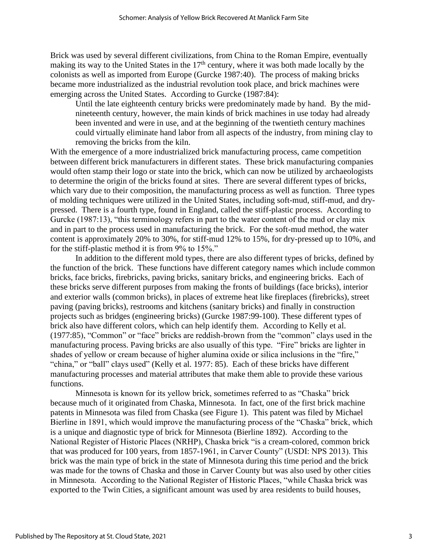Brick was used by several different civilizations, from China to the Roman Empire, eventually making its way to the United States in the  $17<sup>th</sup>$  century, where it was both made locally by the colonists as well as imported from Europe (Gurcke 1987:40). The process of making bricks became more industrialized as the industrial revolution took place, and brick machines were emerging across the United States. According to Gurcke (1987:84):

Until the late eighteenth century bricks were predominately made by hand. By the midnineteenth century, however, the main kinds of brick machines in use today had already been invented and were in use, and at the beginning of the twentieth century machines could virtually eliminate hand labor from all aspects of the industry, from mining clay to removing the bricks from the kiln.

With the emergence of a more industrialized brick manufacturing process, came competition between different brick manufacturers in different states. These brick manufacturing companies would often stamp their logo or state into the brick, which can now be utilized by archaeologists to determine the origin of the bricks found at sites. There are several different types of bricks, which vary due to their composition, the manufacturing process as well as function. Three types of molding techniques were utilized in the United States, including soft-mud, stiff-mud, and drypressed. There is a fourth type, found in England, called the stiff-plastic process. According to Gurcke (1987:13), "this terminology refers in part to the water content of the mud or clay mix and in part to the process used in manufacturing the brick. For the soft-mud method, the water content is approximately 20% to 30%, for stiff-mud 12% to 15%, for dry-pressed up to 10%, and for the stiff-plastic method it is from 9% to 15%."

In addition to the different mold types, there are also different types of bricks, defined by the function of the brick. These functions have different category names which include common bricks, face bricks, firebricks, paving bricks, sanitary bricks, and engineering bricks. Each of these bricks serve different purposes from making the fronts of buildings (face bricks), interior and exterior walls (common bricks), in places of extreme heat like fireplaces (firebricks), street paving (paving bricks), restrooms and kitchens (sanitary bricks) and finally in construction projects such as bridges (engineering bricks) (Gurcke 1987:99-100). These different types of brick also have different colors, which can help identify them. According to Kelly et al. (1977:85), "Common" or "face" bricks are reddish-brown from the "common" clays used in the manufacturing process. Paving bricks are also usually of this type. "Fire" bricks are lighter in shades of yellow or cream because of higher alumina oxide or silica inclusions in the "fire," "china," or "ball" clays used" (Kelly et al. 1977: 85). Each of these bricks have different manufacturing processes and material attributes that make them able to provide these various functions.

Minnesota is known for its yellow brick, sometimes referred to as "Chaska" brick because much of it originated from Chaska, Minnesota. In fact, one of the first brick machine patents in Minnesota was filed from Chaska (see Figure 1). This patent was filed by Michael Bierline in 1891, which would improve the manufacturing process of the "Chaska" brick, which is a unique and diagnostic type of brick for Minnesota (Bierline 1892). According to the National Register of Historic Places (NRHP), Chaska brick "is a cream-colored, common brick that was produced for 100 years, from 1857-1961, in Carver County" (USDI: NPS 2013). This brick was the main type of brick in the state of Minnesota during this time period and the brick was made for the towns of Chaska and those in Carver County but was also used by other cities in Minnesota. According to the National Register of Historic Places, "while Chaska brick was exported to the Twin Cities, a significant amount was used by area residents to build houses,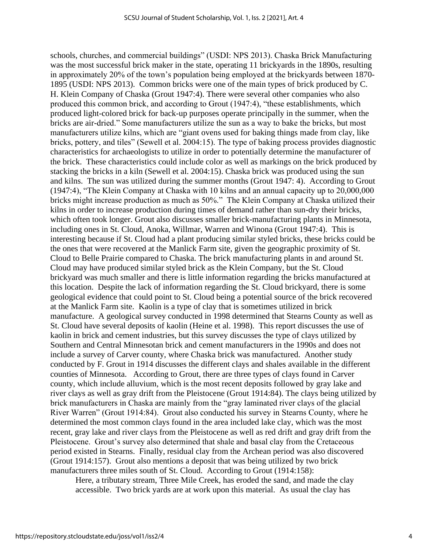schools, churches, and commercial buildings" (USDI: NPS 2013). Chaska Brick Manufacturing was the most successful brick maker in the state, operating 11 brickyards in the 1890s, resulting in approximately 20% of the town's population being employed at the brickyards between 1870- 1895 (USDI: NPS 2013). Common bricks were one of the main types of brick produced by C. H. Klein Company of Chaska (Grout 1947:4). There were several other companies who also produced this common brick, and according to Grout (1947:4), "these establishments, which produced light-colored brick for back-up purposes operate principally in the summer, when the bricks are air-dried." Some manufacturers utilize the sun as a way to bake the bricks, but most manufacturers utilize kilns, which are "giant ovens used for baking things made from clay, like bricks, pottery, and tiles" (Sewell et al. 2004:15). The type of baking process provides diagnostic characteristics for archaeologists to utilize in order to potentially determine the manufacturer of the brick. These characteristics could include color as well as markings on the brick produced by stacking the bricks in a kiln (Sewell et al. 2004:15). Chaska brick was produced using the sun and kilns. The sun was utilized during the summer months (Grout 1947: 4). According to Grout (1947:4), "The Klein Company at Chaska with 10 kilns and an annual capacity up to 20,000,000 bricks might increase production as much as 50%." The Klein Company at Chaska utilized their kilns in order to increase production during times of demand rather than sun-dry their bricks, which often took longer. Grout also discusses smaller brick-manufacturing plants in Minnesota, including ones in St. Cloud, Anoka, Willmar, Warren and Winona (Grout 1947:4). This is interesting because if St. Cloud had a plant producing similar styled bricks, these bricks could be the ones that were recovered at the Manlick Farm site, given the geographic proximity of St. Cloud to Belle Prairie compared to Chaska. The brick manufacturing plants in and around St. Cloud may have produced similar styled brick as the Klein Company, but the St. Cloud brickyard was much smaller and there is little information regarding the bricks manufactured at this location. Despite the lack of information regarding the St. Cloud brickyard, there is some geological evidence that could point to St. Cloud being a potential source of the brick recovered at the Manlick Farm site. Kaolin is a type of clay that is sometimes utilized in brick manufacture. A geological survey conducted in 1998 determined that Stearns County as well as St. Cloud have several deposits of kaolin (Heine et al. 1998). This report discusses the use of kaolin in brick and cement industries, but this survey discusses the type of clays utilized by Southern and Central Minnesotan brick and cement manufacturers in the 1990s and does not include a survey of Carver county, where Chaska brick was manufactured. Another study conducted by F. Grout in 1914 discusses the different clays and shales available in the different counties of Minnesota. According to Grout, there are three types of clays found in Carver county, which include alluvium, which is the most recent deposits followed by gray lake and river clays as well as gray drift from the Pleistocene (Grout 1914:84). The clays being utilized by brick manufacturers in Chaska are mainly from the "gray laminated river clays of the glacial River Warren" (Grout 1914:84). Grout also conducted his survey in Stearns County, where he determined the most common clays found in the area included lake clay, which was the most recent, gray lake and river clays from the Pleistocene as well as red drift and gray drift from the Pleistocene. Grout's survey also determined that shale and basal clay from the Cretaceous period existed in Stearns. Finally, residual clay from the Archean period was also discovered (Grout 1914:157). Grout also mentions a deposit that was being utilized by two brick manufacturers three miles south of St. Cloud. According to Grout (1914:158):

Here, a tributary stream, Three Mile Creek, has eroded the sand, and made the clay accessible. Two brick yards are at work upon this material. As usual the clay has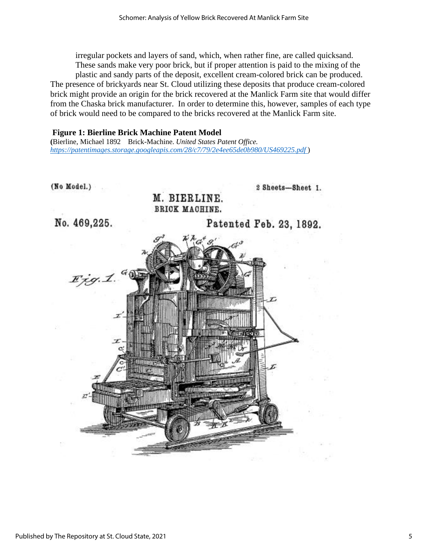irregular pockets and layers of sand, which, when rather fine, are called quicksand. These sands make very poor brick, but if proper attention is paid to the mixing of the plastic and sandy parts of the deposit, excellent cream-colored brick can be produced. The presence of brickyards near St. Cloud utilizing these deposits that produce cream-colored brick might provide an origin for the brick recovered at the Manlick Farm site that would differ from the Chaska brick manufacturer. In order to determine this, however, samples of each type of brick would need to be compared to the bricks recovered at the Manlick Farm site.

## **Figure 1: Bierline Brick Machine Patent Model**

**(**Bierline, Michael 1892 Brick-Machine. *United States Patent Office. <https://patentimages.storage.googleapis.com/28/c7/79/2e4ee65de0b980/US469225.pdf>* )

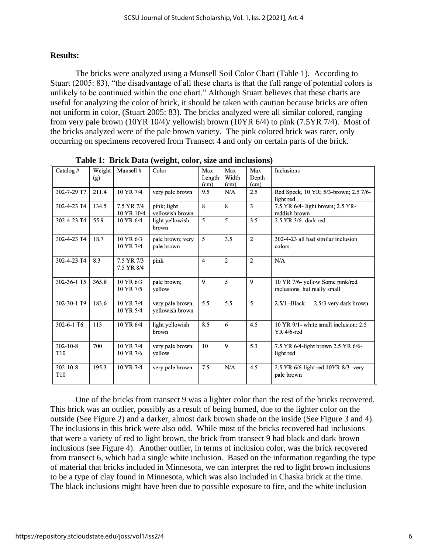## **Results:**

The bricks were analyzed using a Munsell Soil Color Chart (Table 1). According to Stuart (2005: 83), "the disadvantage of all these charts is that the full range of potential colors is unlikely to be continued within the one chart." Although Stuart believes that these charts are useful for analyzing the color of brick, it should be taken with caution because bricks are often not uniform in color, (Stuart 2005: 83). The bricks analyzed were all similar colored, ranging from very pale brown (10YR 10/4)/ yellowish brown (10YR 6/4) to pink (7.5YR 7/4). Most of the bricks analyzed were of the pale brown variety. The pink colored brick was rarer, only occurring on specimens recovered from Transect 4 and only on certain parts of the brick.

| Catalog#                          | Weight<br>(g) | Munsell #                | Color                               | Max<br>Length<br>(cm) | Max<br>Width<br>(cm) | Max<br>Depth<br>(cm) | Inclusions                                                      |
|-----------------------------------|---------------|--------------------------|-------------------------------------|-----------------------|----------------------|----------------------|-----------------------------------------------------------------|
| 302-7-29 T7                       | 211.4         | 10 YR 7/4                | very pale brown                     | 9.5                   | N/A                  | 2.5                  | Red Speck, 10 YR; 5/3-brown; 2.5 7/6-<br>light red              |
| 302-4-23 T4                       | 134.5         | 7.5 YR 7/4<br>10 YR 10/4 | pink; light<br>vellowish brown      | $\mathbf{8}$          | 8                    | 3                    | 7.5 YR 6/4- light brown; 2.5 YR-<br>reddish brown               |
| 302-4-23 T4                       | 55.9          | 10 YR 6/4                | light yellowish<br>brown            | 5                     | 5                    | 3.5                  | 2.5 YR 3/6- dark red                                            |
| 302-4-23 T4                       | 18.7          | 10 YR 6/3<br>10 YR 7/4   | pale brown; very<br>pale brown      | 5                     | 3.5                  | $\overline{2}$       | 302-4-23 all had similar inclusion<br>colors                    |
| 302-4-23 T4                       | 8.3           | 7.5 YR 7/3<br>7.5 YR 8/4 | pink                                | $\overline{4}$        | 2                    | 2                    | N/A                                                             |
| 302-36-1 T5                       | 365.8         | 10 YR 6/3<br>10 YR 7/5   | pale brown;<br>yellow               | 9                     | 5                    | 9                    | 10 YR 7/6- yellow Some pink/red<br>inclusions, but really small |
| 302-30-1 T9                       | 183.6         | 10 YR 7/4<br>10 YR 5/4   | very pale brown;<br>yellowish brown | 5.5                   | 5.5                  | 5                    | $2.5/1$ -Black<br>2.5/3 very dark brown                         |
| 302-6-1 T6                        | 113           | 10 YR 6/4                | light yellowish<br>brown            | 8.5                   | 6                    | 4.5                  | 10 YR 9/1- white small inclusion: 2.5<br>$YR$ 4/6-red           |
| $302 - 10 - 8$<br>T <sub>10</sub> | 700           | 10 YR 7/4<br>10 YR 7/6   | very pale brown;<br>yellow          | 10                    | 9                    | 5.3                  | 7.5 YR 6/4-light brown 2.5 YR 6/6-<br>light red                 |
| $302 - 10 - 8$<br>T <sub>10</sub> | 195.3         | 10 YR 7/4                | very pale brown                     | 7.5                   | N/A                  | 4.5                  | 2.5 YR 6/6-light red 10YR 8/3- very<br>pale brown               |

**Table 1: Brick Data (weight, color, size and inclusions)** 

One of the bricks from transect 9 was a lighter color than the rest of the bricks recovered. This brick was an outlier, possibly as a result of being burned, due to the lighter color on the outside (See Figure 2) and a darker, almost dark brown shade on the inside (See Figure 3 and 4). The inclusions in this brick were also odd. While most of the bricks recovered had inclusions that were a variety of red to light brown, the brick from transect 9 had black and dark brown inclusions (see Figure 4). Another outlier, in terms of inclusion color, was the brick recovered from transect 6, which had a single white inclusion. Based on the information regarding the type of material that bricks included in Minnesota, we can interpret the red to light brown inclusions to be a type of clay found in Minnesota, which was also included in Chaska brick at the time. The black inclusions might have been due to possible exposure to fire, and the white inclusion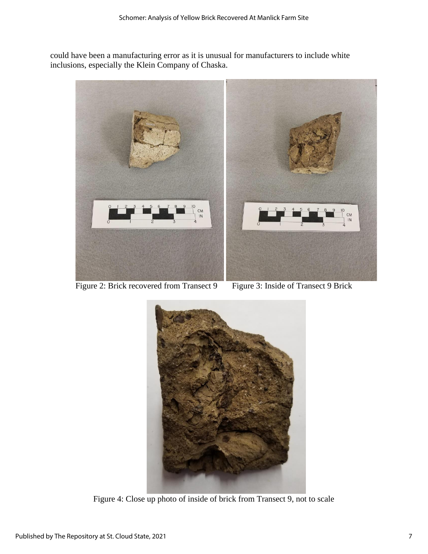could have been a manufacturing error as it is unusual for manufacturers to include white inclusions, especially the Klein Company of Chaska.



Figure 2: Brick recovered from Transect 9 Figure 3: Inside of Transect 9 Brick



Figure 4: Close up photo of inside of brick from Transect 9, not to scale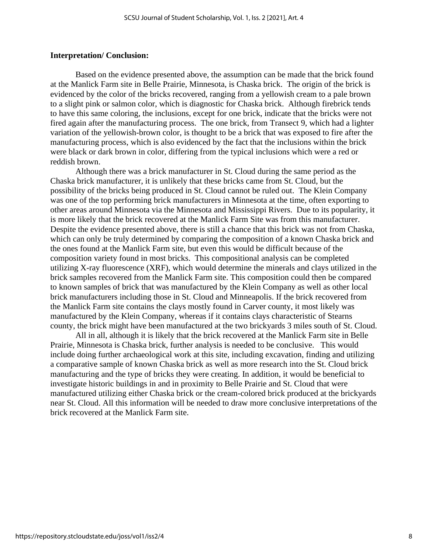#### **Interpretation/ Conclusion:**

Based on the evidence presented above, the assumption can be made that the brick found at the Manlick Farm site in Belle Prairie, Minnesota, is Chaska brick. The origin of the brick is evidenced by the color of the bricks recovered, ranging from a yellowish cream to a pale brown to a slight pink or salmon color, which is diagnostic for Chaska brick. Although firebrick tends to have this same coloring, the inclusions, except for one brick, indicate that the bricks were not fired again after the manufacturing process. The one brick, from Transect 9, which had a lighter variation of the yellowish-brown color, is thought to be a brick that was exposed to fire after the manufacturing process, which is also evidenced by the fact that the inclusions within the brick were black or dark brown in color, differing from the typical inclusions which were a red or reddish brown.

Although there was a brick manufacturer in St. Cloud during the same period as the Chaska brick manufacturer, it is unlikely that these bricks came from St. Cloud, but the possibility of the bricks being produced in St. Cloud cannot be ruled out. The Klein Company was one of the top performing brick manufacturers in Minnesota at the time, often exporting to other areas around Minnesota via the Minnesota and Mississippi Rivers. Due to its popularity, it is more likely that the brick recovered at the Manlick Farm Site was from this manufacturer. Despite the evidence presented above, there is still a chance that this brick was not from Chaska, which can only be truly determined by comparing the composition of a known Chaska brick and the ones found at the Manlick Farm site, but even this would be difficult because of the composition variety found in most bricks. This compositional analysis can be completed utilizing X-ray fluorescence (XRF), which would determine the minerals and clays utilized in the brick samples recovered from the Manlick Farm site. This composition could then be compared to known samples of brick that was manufactured by the Klein Company as well as other local brick manufacturers including those in St. Cloud and Minneapolis. If the brick recovered from the Manlick Farm site contains the clays mostly found in Carver county, it most likely was manufactured by the Klein Company, whereas if it contains clays characteristic of Stearns county, the brick might have been manufactured at the two brickyards 3 miles south of St. Cloud.

All in all, although it is likely that the brick recovered at the Manlick Farm site in Belle Prairie, Minnesota is Chaska brick, further analysis is needed to be conclusive. This would include doing further archaeological work at this site, including excavation, finding and utilizing a comparative sample of known Chaska brick as well as more research into the St. Cloud brick manufacturing and the type of bricks they were creating. In addition, it would be beneficial to investigate historic buildings in and in proximity to Belle Prairie and St. Cloud that were manufactured utilizing either Chaska brick or the cream-colored brick produced at the brickyards near St. Cloud. All this information will be needed to draw more conclusive interpretations of the brick recovered at the Manlick Farm site.